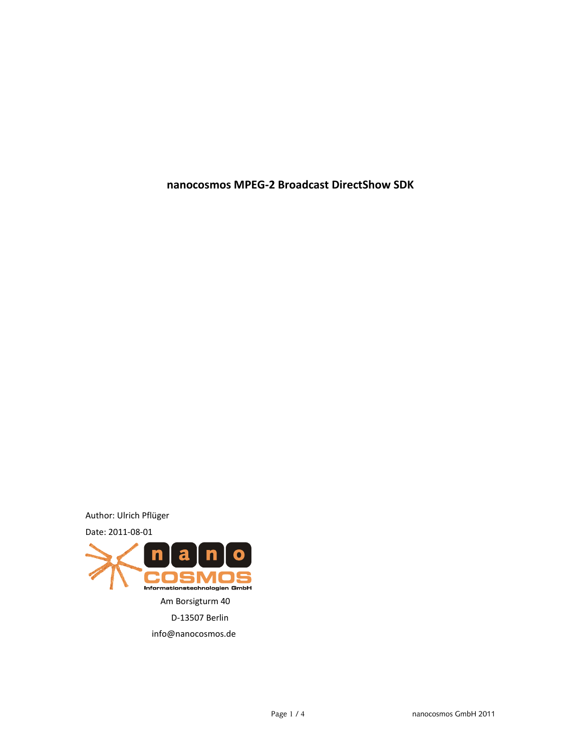**nanocosmos MPEG-2 Broadcast DirectShow SDK**

Author: Ulrich Pflüger



info@nanocosmos.de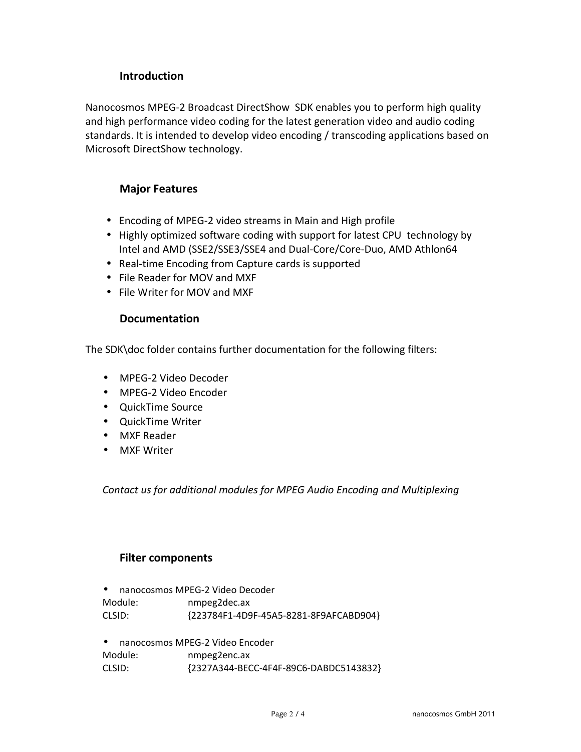# **Introduction**

Nanocosmos MPEG-2 Broadcast DirectShow SDK enables you to perform high quality and high performance video coding for the latest generation video and audio coding standards. It is intended to develop video encoding / transcoding applications based on Microsoft DirectShow technology.

## **Major Features**

- Encoding of MPEG-2 video streams in Main and High profile
- Highly optimized software coding with support for latest CPU technology by Intel and AMD (SSE2/SSE3/SSE4 and Dual-Core/Core-Duo, AMD Athlon64
- Real-time Encoding from Capture cards is supported
- File Reader for MOV and MXF
- File Writer for MOV and MXF

## **Documentation**

The SDK\doc folder contains further documentation for the following filters:

- MPEG-2 Video Decoder
- MPEG-2 Video Encoder
- QuickTime Source
- QuickTime Writer
- MXF Reader
- MXF Writer

*Contact us for additional modules for MPEG Audio Encoding and Multiplexing*

### **Filter components**

- nanocosmos MPEG-2 Video Decoder Module: nmpeg2dec.ax CLSID: {223784F1-4D9F-45A5-8281-8F9AFCABD904}
- nanocosmos MPEG-2 Video Encoder

Module: nmpeg2enc.ax CLSID: {2327A344-BECC-4F4F-89C6-DABDC5143832}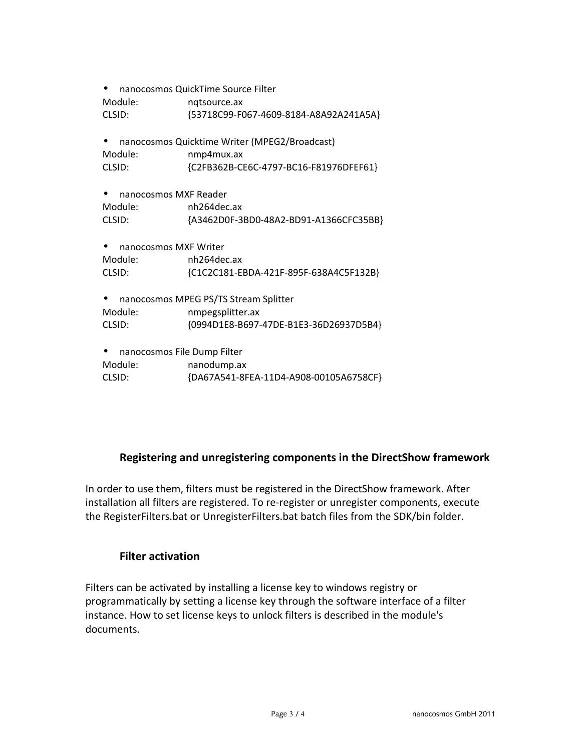| nanocosmos QuickTime Source Filter            |                                        |
|-----------------------------------------------|----------------------------------------|
| Module:                                       | nqtsource.ax                           |
| CLSID:                                        | {53718C99-F067-4609-8184-A8A92A241A5A} |
| nanocosmos Quicktime Writer (MPEG2/Broadcast) |                                        |
| Module:                                       | nmp4mux.ax                             |
| CLSID:                                        | {C2FB362B-CE6C-4797-BC16-F81976DFEF61} |
| nanocosmos MXF Reader                         |                                        |
| Module:                                       | nh264dec.ax                            |
| CLSID:                                        | {A3462D0F-3BD0-48A2-BD91-A1366CFC35BB} |
| nanocosmos MXF Writer                         |                                        |
| Module:                                       | nh264dec.ax                            |
| CLSID:                                        | {C1C2C181-EBDA-421F-895F-638A4C5F132B} |
| nanocosmos MPEG PS/TS Stream Splitter         |                                        |
| Module:                                       | nmpegsplitter.ax                       |
| CLSID:                                        | {0994D1E8-B697-47DE-B1E3-36D26937D5B4} |
| nanocosmos File Dump Filter                   |                                        |
| Module:                                       | nanodump.ax                            |
| CLSID:                                        | {DA67A541-8FEA-11D4-A908-00105A6758CF} |

# **Registering and unregistering components in the DirectShow framework**

In order to use them, filters must be registered in the DirectShow framework. After installation all filters are registered. To re-register or unregister components, execute the RegisterFilters.bat or UnregisterFilters.bat batch files from the SDK/bin folder.

## **Filter activation**

Filters can be activated by installing a license key to windows registry or programmatically by setting a license key through the software interface of a filter instance. How to set license keys to unlock filters is described in the module's documents.